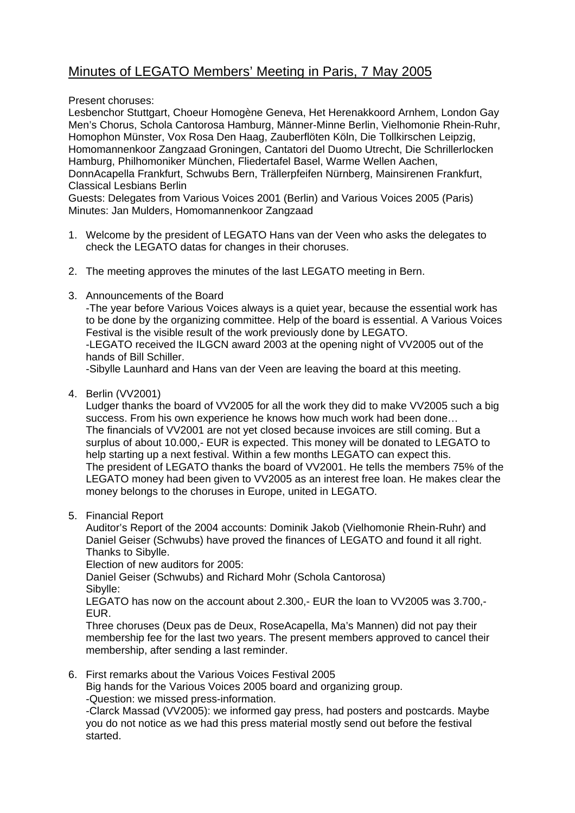## Minutes of LEGATO Members' Meeting in Paris, 7 May 2005

Present choruses:

Lesbenchor Stuttgart, Choeur Homogène Geneva, Het Herenakkoord Arnhem, London Gay Men's Chorus, Schola Cantorosa Hamburg, Männer-Minne Berlin, Vielhomonie Rhein-Ruhr, Homophon Münster, Vox Rosa Den Haag, Zauberflöten Köln, Die Tollkirschen Leipzig, Homomannenkoor Zangzaad Groningen, Cantatori del Duomo Utrecht, Die Schrillerlocken Hamburg, Philhomoniker München, Fliedertafel Basel, Warme Wellen Aachen, DonnAcapella Frankfurt, Schwubs Bern, Trällerpfeifen Nürnberg, Mainsirenen Frankfurt, Classical Lesbians Berlin

Guests: Delegates from Various Voices 2001 (Berlin) and Various Voices 2005 (Paris) Minutes: Jan Mulders, Homomannenkoor Zangzaad

- 1. Welcome by the president of LEGATO Hans van der Veen who asks the delegates to check the LEGATO datas for changes in their choruses.
- 2. The meeting approves the minutes of the last LEGATO meeting in Bern.
- 3. Announcements of the Board

-The year before Various Voices always is a quiet year, because the essential work has to be done by the organizing committee. Help of the board is essential. A Various Voices Festival is the visible result of the work previously done by LEGATO.

-LEGATO received the ILGCN award 2003 at the opening night of VV2005 out of the hands of Bill Schiller.

-Sibylle Launhard and Hans van der Veen are leaving the board at this meeting.

4. Berlin (VV2001)

Ludger thanks the board of VV2005 for all the work they did to make VV2005 such a big success. From his own experience he knows how much work had been done… The financials of VV2001 are not yet closed because invoices are still coming. But a surplus of about 10.000,- EUR is expected. This money will be donated to LEGATO to help starting up a next festival. Within a few months LEGATO can expect this. The president of LEGATO thanks the board of VV2001. He tells the members 75% of the LEGATO money had been given to VV2005 as an interest free loan. He makes clear the money belongs to the choruses in Europe, united in LEGATO.

5. Financial Report

Auditor's Report of the 2004 accounts: Dominik Jakob (Vielhomonie Rhein-Ruhr) and Daniel Geiser (Schwubs) have proved the finances of LEGATO and found it all right. Thanks to Sibylle.

Election of new auditors for 2005:

 Daniel Geiser (Schwubs) and Richard Mohr (Schola Cantorosa) Sibylle:

LEGATO has now on the account about 2.300,- EUR the loan to VV2005 was 3.700,- EUR.

Three choruses (Deux pas de Deux, RoseAcapella, Ma's Mannen) did not pay their membership fee for the last two years. The present members approved to cancel their membership, after sending a last reminder.

6. First remarks about the Various Voices Festival 2005

Big hands for the Various Voices 2005 board and organizing group.

-Question: we missed press-information.

-Clarck Massad (VV2005): we informed gay press, had posters and postcards. Maybe you do not notice as we had this press material mostly send out before the festival started.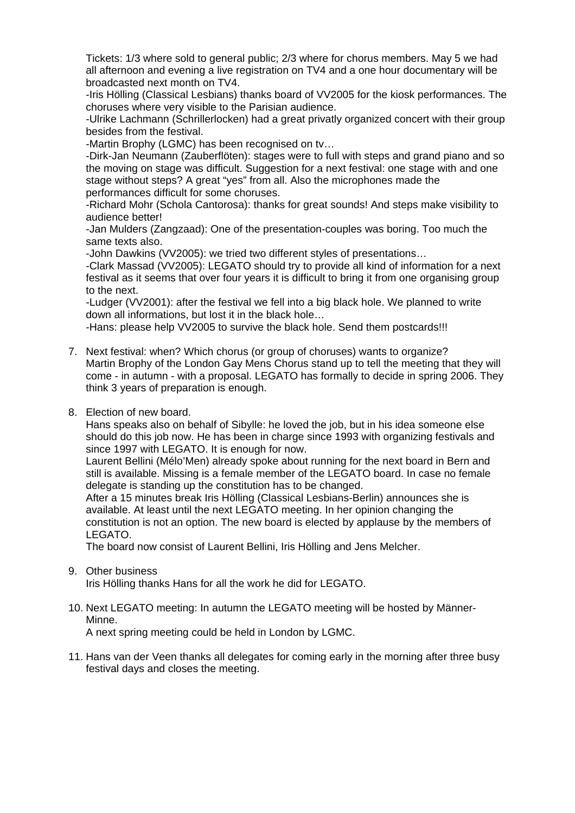Tickets: 1/3 where sold to general public; 2/3 where for chorus members. May 5 we had all afternoon and evening a live registration on TV4 and a one hour documentary will be broadcasted next month on TV4.

-Iris Hölling (Classical Lesbians) thanks board of VV2005 for the kiosk performances. The choruses where very visible to the Parisian audience.

-Ulrike Lachmann (Schrillerlocken) had a great privatly organized concert with their group besides from the festival.

-Martin Brophy (LGMC) has been recognised on tv…

-Dirk-Jan Neumann (Zauberflöten): stages were to full with steps and grand piano and so the moving on stage was difficult. Suggestion for a next festival: one stage with and one stage without steps? A great "yes" from all. Also the microphones made the performances difficult for some choruses.

-Richard Mohr (Schola Cantorosa): thanks for great sounds! And steps make visibility to audience better!

-Jan Mulders (Zangzaad): One of the presentation-couples was boring. Too much the same texts also.

-John Dawkins (VV2005): we tried two different styles of presentations…

-Clark Massad (VV2005): LEGATO should try to provide all kind of information for a next festival as it seems that over four years it is difficult to bring it from one organising group to the next.

-Ludger (VV2001): after the festival we fell into a big black hole. We planned to write down all informations, but lost it in the black hole…

-Hans: please help VV2005 to survive the black hole. Send them postcards!!!

- 7. Next festival: when? Which chorus (or group of choruses) wants to organize? Martin Brophy of the London Gay Mens Chorus stand up to tell the meeting that they will come - in autumn - with a proposal. LEGATO has formally to decide in spring 2006. They think 3 years of preparation is enough.
- 8. Election of new board.

Hans speaks also on behalf of Sibylle: he loved the job, but in his idea someone else should do this job now. He has been in charge since 1993 with organizing festivals and since 1997 with LEGATO. It is enough for now.

Laurent Bellini (Mélo'Men) already spoke about running for the next board in Bern and still is available. Missing is a female member of the LEGATO board. In case no female delegate is standing up the constitution has to be changed.

After a 15 minutes break Iris Hölling (Classical Lesbians-Berlin) announces she is available. At least until the next LEGATO meeting. In her opinion changing the constitution is not an option. The new board is elected by applause by the members of LEGATO.

The board now consist of Laurent Bellini, Iris Hölling and Jens Melcher.

9. Other business

Iris Hölling thanks Hans for all the work he did for LEGATO.

## 10. Next LEGATO meeting: In autumn the LEGATO meeting will be hosted by Männer-Minne.

A next spring meeting could be held in London by LGMC.

11. Hans van der Veen thanks all delegates for coming early in the morning after three busy festival days and closes the meeting.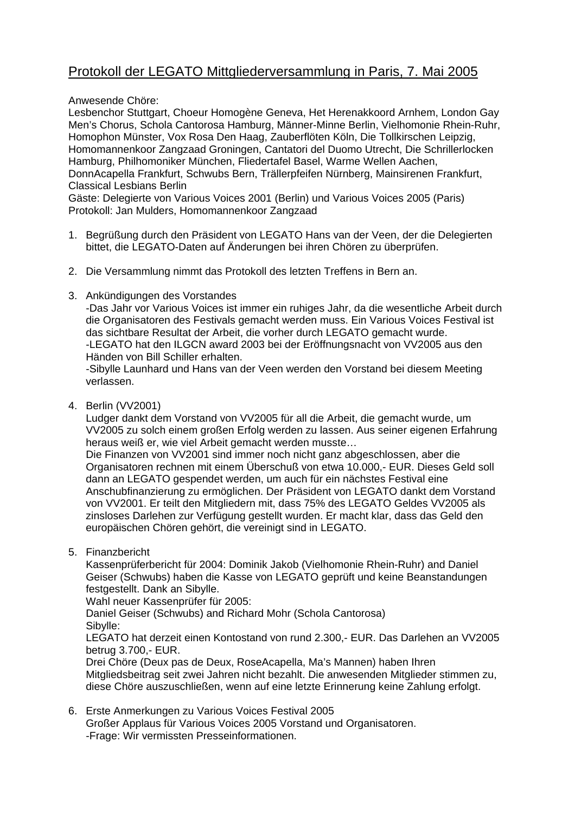## Protokoll der LEGATO Mittgliederversammlung in Paris, 7. Mai 2005

Anwesende Chöre:

Lesbenchor Stuttgart, Choeur Homogène Geneva, Het Herenakkoord Arnhem, London Gay Men's Chorus, Schola Cantorosa Hamburg, Männer-Minne Berlin, Vielhomonie Rhein-Ruhr, Homophon Münster, Vox Rosa Den Haag, Zauberflöten Köln, Die Tollkirschen Leipzig, Homomannenkoor Zangzaad Groningen, Cantatori del Duomo Utrecht, Die Schrillerlocken Hamburg, Philhomoniker München, Fliedertafel Basel, Warme Wellen Aachen, DonnAcapella Frankfurt, Schwubs Bern, Trällerpfeifen Nürnberg, Mainsirenen Frankfurt, Classical Lesbians Berlin

Gäste: Delegierte von Various Voices 2001 (Berlin) und Various Voices 2005 (Paris) Protokoll: Jan Mulders, Homomannenkoor Zangzaad

- 1. Begrüßung durch den Präsident von LEGATO Hans van der Veen, der die Delegierten bittet, die LEGATO-Daten auf Änderungen bei ihren Chören zu überprüfen.
- 2. Die Versammlung nimmt das Protokoll des letzten Treffens in Bern an.
- 3. Ankündigungen des Vorstandes

-Das Jahr vor Various Voices ist immer ein ruhiges Jahr, da die wesentliche Arbeit durch die Organisatoren des Festivals gemacht werden muss. Ein Various Voices Festival ist das sichtbare Resultat der Arbeit, die vorher durch LEGATO gemacht wurde. -LEGATO hat den ILGCN award 2003 bei der Eröffnungsnacht von VV2005 aus den Händen von Bill Schiller erhalten.

-Sibylle Launhard und Hans van der Veen werden den Vorstand bei diesem Meeting verlassen.

4. Berlin (VV2001)

Ludger dankt dem Vorstand von VV2005 für all die Arbeit, die gemacht wurde, um VV2005 zu solch einem großen Erfolg werden zu lassen. Aus seiner eigenen Erfahrung heraus weiß er, wie viel Arbeit gemacht werden musste…

Die Finanzen von VV2001 sind immer noch nicht ganz abgeschlossen, aber die Organisatoren rechnen mit einem Überschuß von etwa 10.000,- EUR. Dieses Geld soll dann an LEGATO gespendet werden, um auch für ein nächstes Festival eine Anschubfinanzierung zu ermöglichen. Der Präsident von LEGATO dankt dem Vorstand von VV2001. Er teilt den Mitgliedern mit, dass 75% des LEGATO Geldes VV2005 als zinsloses Darlehen zur Verfügung gestellt wurden. Er macht klar, dass das Geld den europäischen Chören gehört, die vereinigt sind in LEGATO.

5. Finanzbericht

Kassenprüferbericht für 2004: Dominik Jakob (Vielhomonie Rhein-Ruhr) and Daniel Geiser (Schwubs) haben die Kasse von LEGATO geprüft und keine Beanstandungen festgestellt. Dank an Sibylle.

Wahl neuer Kassenprüfer für 2005:

 Daniel Geiser (Schwubs) and Richard Mohr (Schola Cantorosa) Sibylle:

LEGATO hat derzeit einen Kontostand von rund 2.300,- EUR. Das Darlehen an VV2005 betrug 3.700,- EUR.

Drei Chöre (Deux pas de Deux, RoseAcapella, Ma's Mannen) haben Ihren Mitgliedsbeitrag seit zwei Jahren nicht bezahlt. Die anwesenden Mitglieder stimmen zu, diese Chöre auszuschließen, wenn auf eine letzte Erinnerung keine Zahlung erfolgt.

6. Erste Anmerkungen zu Various Voices Festival 2005 Großer Applaus für Various Voices 2005 Vorstand und Organisatoren. -Frage: Wir vermissten Presseinformationen.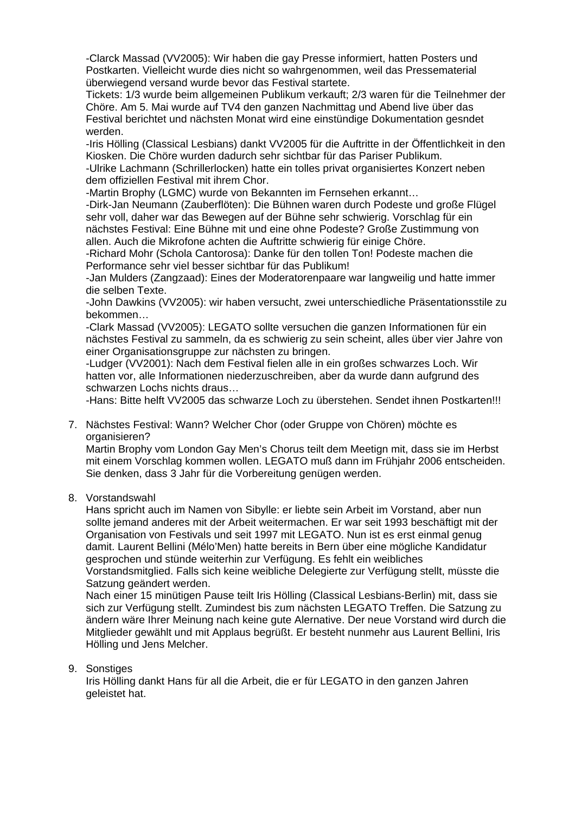-Clarck Massad (VV2005): Wir haben die gay Presse informiert, hatten Posters und Postkarten. Vielleicht wurde dies nicht so wahrgenommen, weil das Pressematerial überwiegend versand wurde bevor das Festival startete.

Tickets: 1/3 wurde beim allgemeinen Publikum verkauft; 2/3 waren für die Teilnehmer der Chöre. Am 5. Mai wurde auf TV4 den ganzen Nachmittag und Abend live über das Festival berichtet und nächsten Monat wird eine einstündige Dokumentation gesndet werden.

-Iris Hölling (Classical Lesbians) dankt VV2005 für die Auftritte in der Öffentlichkeit in den Kiosken. Die Chöre wurden dadurch sehr sichtbar für das Pariser Publikum.

-Ulrike Lachmann (Schrillerlocken) hatte ein tolles privat organisiertes Konzert neben dem offiziellen Festival mit ihrem Chor.

-Martin Brophy (LGMC) wurde von Bekannten im Fernsehen erkannt…

-Dirk-Jan Neumann (Zauberflöten): Die Bühnen waren durch Podeste und große Flügel sehr voll, daher war das Bewegen auf der Bühne sehr schwierig. Vorschlag für ein nächstes Festival: Eine Bühne mit und eine ohne Podeste? Große Zustimmung von allen. Auch die Mikrofone achten die Auftritte schwierig für einige Chöre.

-Richard Mohr (Schola Cantorosa): Danke für den tollen Ton! Podeste machen die Performance sehr viel besser sichtbar für das Publikum!

-Jan Mulders (Zangzaad): Eines der Moderatorenpaare war langweilig und hatte immer die selben Texte.

-John Dawkins (VV2005): wir haben versucht, zwei unterschiedliche Präsentationsstile zu bekommen…

-Clark Massad (VV2005): LEGATO sollte versuchen die ganzen Informationen für ein nächstes Festival zu sammeln, da es schwierig zu sein scheint, alles über vier Jahre von einer Organisationsgruppe zur nächsten zu bringen.

-Ludger (VV2001): Nach dem Festival fielen alle in ein großes schwarzes Loch. Wir hatten vor, alle Informationen niederzuschreiben, aber da wurde dann aufgrund des schwarzen Lochs nichts draus…

-Hans: Bitte helft VV2005 das schwarze Loch zu überstehen. Sendet ihnen Postkarten!!!

7. Nächstes Festival: Wann? Welcher Chor (oder Gruppe von Chören) möchte es organisieren?

Martin Brophy vom London Gay Men's Chorus teilt dem Meetign mit, dass sie im Herbst mit einem Vorschlag kommen wollen. LEGATO muß dann im Frühjahr 2006 entscheiden. Sie denken, dass 3 Jahr für die Vorbereitung genügen werden.

8. Vorstandswahl

Hans spricht auch im Namen von Sibylle: er liebte sein Arbeit im Vorstand, aber nun sollte jemand anderes mit der Arbeit weitermachen. Er war seit 1993 beschäftigt mit der Organisation von Festivals und seit 1997 mit LEGATO. Nun ist es erst einmal genug damit. Laurent Bellini (Mélo'Men) hatte bereits in Bern über eine mögliche Kandidatur gesprochen und stünde weiterhin zur Verfügung. Es fehlt ein weibliches Vorstandsmitglied. Falls sich keine weibliche Delegierte zur Verfügung stellt, müsste die Satzung geändert werden.

Nach einer 15 minütigen Pause teilt Iris Hölling (Classical Lesbians-Berlin) mit, dass sie sich zur Verfügung stellt. Zumindest bis zum nächsten LEGATO Treffen. Die Satzung zu ändern wäre Ihrer Meinung nach keine gute Alernative. Der neue Vorstand wird durch die Mitglieder gewählt und mit Applaus begrüßt. Er besteht nunmehr aus Laurent Bellini, Iris Hölling und Jens Melcher.

9. Sonstiges

Iris Hölling dankt Hans für all die Arbeit, die er für LEGATO in den ganzen Jahren geleistet hat.